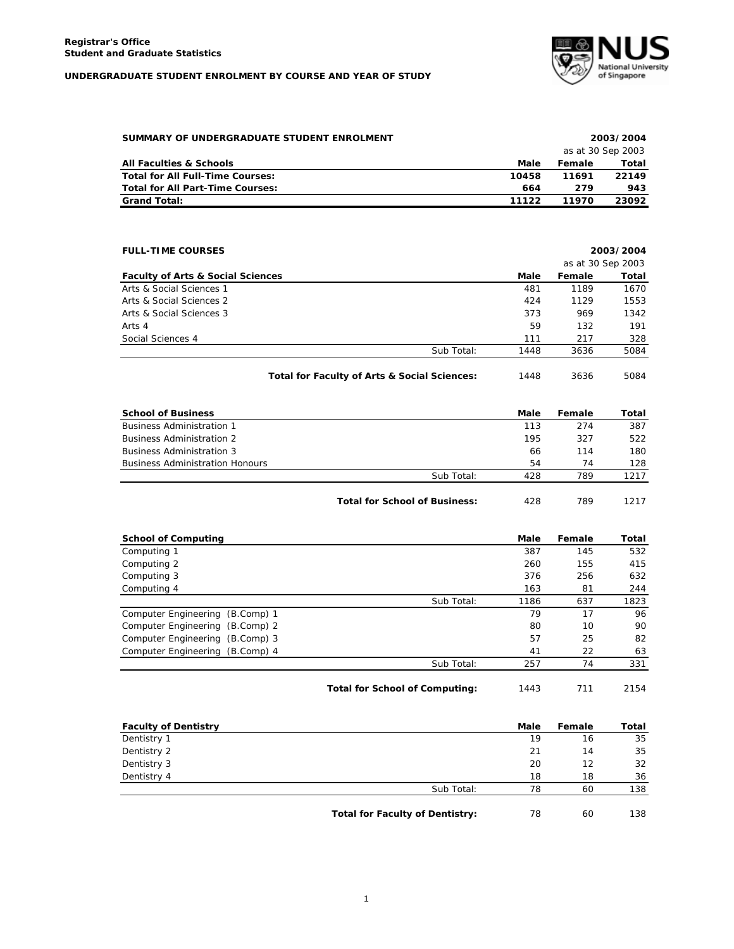

| SUMMARY OF UNDERGRADUATE STUDENT ENROLMENT |       |                   | 2003/2004 |  |  |
|--------------------------------------------|-------|-------------------|-----------|--|--|
|                                            |       | as at 30 Sep 2003 |           |  |  |
| <b>All Faculties &amp; Schools</b>         | Male  | Female            | Total     |  |  |
| Total for All Full-Time Courses:           | 10458 | 11691             | 22149     |  |  |
| <b>Total for All Part-Time Courses:</b>    | 664   | 279               | 943       |  |  |
| <b>Grand Total:</b>                        | 11122 | 11970             | 23092     |  |  |

| <b>FULL-TIME COURSES</b>                     |            |      |                   | 2003/2004 |
|----------------------------------------------|------------|------|-------------------|-----------|
|                                              |            |      | as at 30 Sep 2003 |           |
| <b>Faculty of Arts &amp; Social Sciences</b> |            | Male | Female            | Total     |
| Arts & Social Sciences 1                     |            | 481  | 1189              | 1670      |
| Arts & Social Sciences 2                     |            | 424  | 1129              | 1553      |
| Arts & Social Sciences 3                     |            | 373  | 969               | 1342      |
| Arts 4                                       |            | 59   | 132               | 191       |
| Social Sciences 4                            |            | 111  | 217               | 328       |
|                                              | Sub Total: | 1448 | 3636              | 5084      |
|                                              |            |      |                   |           |

Total for Faculty of Arts & Social Sciences: 1448 3636 5084

| <b>School of Business</b>              |                                      | Male | Female | Total |
|----------------------------------------|--------------------------------------|------|--------|-------|
| <b>Business Administration 1</b>       |                                      | 113  | 274    | 387   |
| <b>Business Administration 2</b>       |                                      | 195  | 327    | 522   |
| <b>Business Administration 3</b>       |                                      | 66   | 114    | 180   |
| <b>Business Administration Honours</b> |                                      | 54   | 74     | 128   |
|                                        | Sub Total:                           | 428  | 789    | 1217  |
|                                        | <b>Total for School of Business:</b> | 428  | 789    | 1217  |

| <b>School of Computing</b>      |            | Male | Female | Total |
|---------------------------------|------------|------|--------|-------|
| Computing 1                     |            | 387  | 145    | 532   |
| Computing 2                     |            | 260  | 155    | 415   |
| Computing 3                     |            | 376  | 256    | 632   |
| Computing 4                     |            | 163  | 81     | 244   |
|                                 | Sub Total: | 1186 | 637    | 1823  |
| Computer Engineering (B.Comp) 1 |            | 79   | 17     | 96    |
| Computer Engineering (B.Comp) 2 |            | 80   | 10     | 90    |
| Computer Engineering (B.Comp) 3 |            | 57   | 25     | 82    |
| Computer Engineering (B.Comp) 4 |            | 41   | 22     | 63    |
|                                 | Sub Total: | 257  | 74     | 331   |
|                                 |            |      |        |       |

Total for School of Computing: 1443 711 2154

| <b>Faculty of Dentistry</b> |            | <b>Male</b> | Female | Total |
|-----------------------------|------------|-------------|--------|-------|
| Dentistry 1                 |            | 19          | 16     | 35    |
| Dentistry 2                 |            | 21          | 14     | 35    |
| Dentistry 3                 |            | 20          | 12     | 32    |
| Dentistry 4                 |            | 18          | 18     | 36    |
|                             | Sub Total: | 78          | 60     | 138   |
|                             |            |             |        |       |

Total for Faculty of Dentistry:  $78$  60 138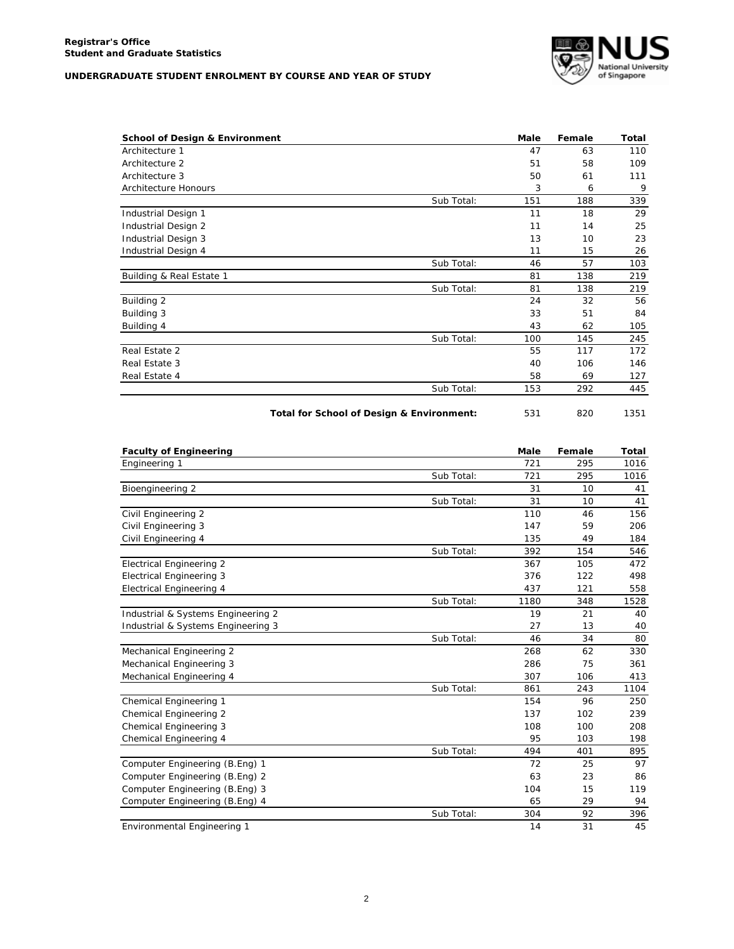

|            | Male | Female | Total |
|------------|------|--------|-------|
|            | 47   | 63     | 110   |
|            | 51   | 58     | 109   |
|            | 50   | 61     | 111   |
|            | 3    | 6      | 9     |
| Sub Total: | 151  | 188    | 339   |
|            | 11   | 18     | 29    |
|            | 11   | 14     | 25    |
|            | 13   | 10     | 23    |
|            | 11   | 15     | 26    |
| Sub Total: | 46   | 57     | 103   |
|            | 81   | 138    | 219   |
| Sub Total: | 81   | 138    | 219   |
|            | 24   | 32     | 56    |
|            | 33   | 51     | 84    |
|            | 43   | 62     | 105   |
| Sub Total: | 100  | 145    | 245   |
|            | 55   | 117    | 172   |
|            | 40   | 106    | 146   |
|            | 58   | 69     | 127   |
| Sub Total: | 153  | 292    | 445   |
|            |      |        |       |

Total for School of Design & Environment: 531 820 1351

| <b>Faculty of Engineering</b>      |            | <b>Male</b> | Female | Total |
|------------------------------------|------------|-------------|--------|-------|
| Engineering 1                      |            | 721         | 295    | 1016  |
|                                    | Sub Total: | 721         | 295    | 1016  |
| Bioengineering 2                   |            | 31          | 10     | 41    |
|                                    | Sub Total: | 31          | 10     | 41    |
| Civil Engineering 2                |            | 110         | 46     | 156   |
| Civil Engineering 3                |            | 147         | 59     | 206   |
| Civil Engineering 4                |            | 135         | 49     | 184   |
|                                    | Sub Total: | 392         | 154    | 546   |
| <b>Electrical Engineering 2</b>    |            | 367         | 105    | 472   |
| <b>Electrical Engineering 3</b>    |            | 376         | 122    | 498   |
| <b>Electrical Engineering 4</b>    |            | 437         | 121    | 558   |
|                                    | Sub Total: | 1180        | 348    | 1528  |
| Industrial & Systems Engineering 2 |            | 19          | 21     | 40    |
| Industrial & Systems Engineering 3 |            | 27          | 13     | 40    |
|                                    | Sub Total: | 46          | 34     | 80    |
| Mechanical Engineering 2           |            | 268         | 62     | 330   |
| Mechanical Engineering 3           |            | 286         | 75     | 361   |
| Mechanical Engineering 4           |            | 307         | 106    | 413   |
|                                    | Sub Total: | 861         | 243    | 1104  |
| Chemical Engineering 1             |            | 154         | 96     | 250   |
| <b>Chemical Engineering 2</b>      |            | 137         | 102    | 239   |
| Chemical Engineering 3             |            | 108         | 100    | 208   |
| Chemical Engineering 4             |            | 95          | 103    | 198   |
|                                    | Sub Total: | 494         | 401    | 895   |
| Computer Engineering (B.Eng) 1     |            | 72          | 25     | 97    |
| Computer Engineering (B.Eng) 2     |            | 63          | 23     | 86    |
| Computer Engineering (B.Eng) 3     |            | 104         | 15     | 119   |
| Computer Engineering (B.Eng) 4     |            | 65          | 29     | 94    |
|                                    | Sub Total: | 304         | 92     | 396   |
| Environmental Engineering 1        |            | 14          | 31     | 45    |

Engineering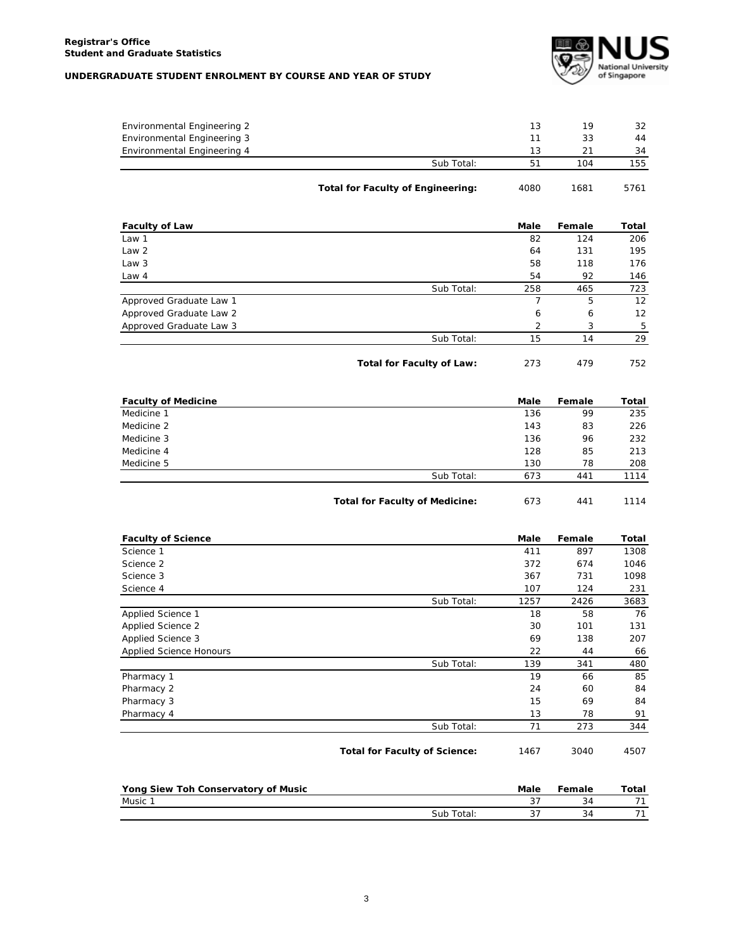

|                             | <b>Total for Faculty of Engineering:</b> | 4080 | 1681 | 5761 |
|-----------------------------|------------------------------------------|------|------|------|
|                             | Sub Total:                               | 51   | 104  | 155  |
| Environmental Engineering 4 |                                          | 13   | 21   | 34   |
| Environmental Engineering 3 |                                          | 11   | 33   | 44   |
| Environmental Engineering 2 |                                          | 13   | 19   | 32   |
|                             |                                          |      |      |      |

| <b>Faculty of Law</b>   |                           | Male<br>Female |     | Total |
|-------------------------|---------------------------|----------------|-----|-------|
| Law 1                   |                           | 82             | 124 | 206   |
| Law <sub>2</sub>        |                           | 64             | 131 | 195   |
| Law 3                   |                           | 58             | 118 | 176   |
| Law $4$                 |                           | 54             | 92  | 146   |
|                         | Sub Total:                | 258            | 465 | 723   |
| Approved Graduate Law 1 |                           |                | 5   | 12    |
| Approved Graduate Law 2 |                           | 6              | 6   | 12    |
| Approved Graduate Law 3 |                           | 2              | 3   | 5     |
|                         | Sub Total:                | 15             | 14  | 29    |
|                         | Total for Faculty of Law: | 273            | 479 | 752   |

| <b>Faculty of Medicine</b> |                                       | Male | Female | Total |
|----------------------------|---------------------------------------|------|--------|-------|
| Medicine 1                 |                                       | 136  | 99     | 235   |
| Medicine 2                 |                                       | 143  | 83     | 226   |
| Medicine 3                 |                                       | 136  | 96     | 232   |
| Medicine 4                 |                                       | 128  | 85     | 213   |
| Medicine 5                 |                                       | 130  | 78     | 208   |
|                            | Sub Total:                            | 673  | 441    | 1114  |
|                            |                                       |      |        |       |
|                            | <b>Total for Faculty of Medicine:</b> | 673  | 441    | 1114  |

| <b>Faculty of Science</b>      |            | Male | Female | Total |
|--------------------------------|------------|------|--------|-------|
| Science 1                      |            | 411  | 897    | 1308  |
| Science 2                      |            | 372  | 674    | 1046  |
| Science 3                      |            | 367  | 731    | 1098  |
| Science 4                      |            | 107  | 124    | 231   |
|                                | Sub Total: | 1257 | 2426   | 3683  |
| Applied Science 1              |            | 18   | 58     | 76    |
| Applied Science 2              |            | 30   | 101    | 131   |
| Applied Science 3              |            | 69   | 138    | 207   |
| <b>Applied Science Honours</b> |            | 22   | 44     | 66    |
|                                | Sub Total: | 139  | 341    | 480   |
| Pharmacy 1                     |            | 19   | 66     | 85    |
| Pharmacy 2                     |            | 24   | 60     | 84    |
| Pharmacy 3                     |            | 15   | 69     | 84    |
| Pharmacy 4                     |            | 13   | 78     | 91    |
|                                | Sub Total: | 71   | 273    | 344   |

Total for Faculty of Science: 1467 3040 4507

| Yong Siew Toh Conservatory of Music |            | Male | Female | Total |
|-------------------------------------|------------|------|--------|-------|
| Music 1                             |            |      |        |       |
|                                     | Sub Total: |      |        |       |